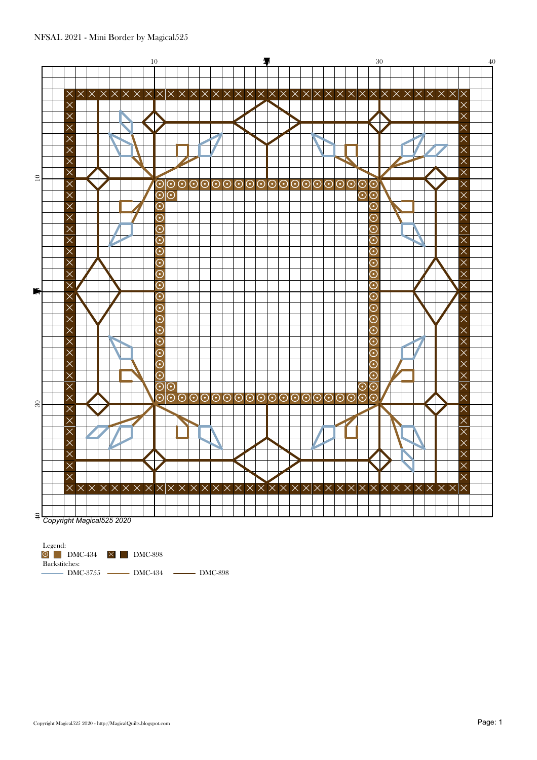